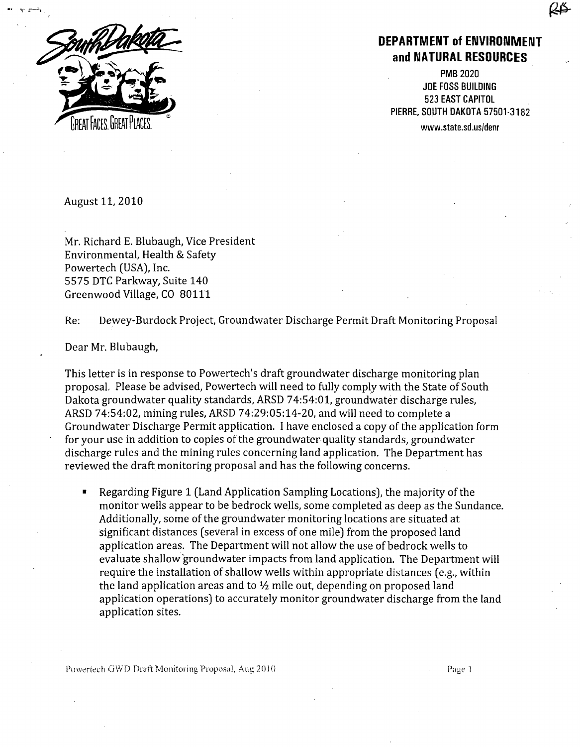

DEPARTMENT **of ENVIRONMENT and NATURAL RESOURCES**

**PMB 2020** JOE FOSS BUILDING 523 EAST CAPITOL • PIERRE, SOUTH DAKOTA 57501-3182

August **11,** 2010

Mr. Richard E. Blubaugh, Vice President Environmental, Health & Safety Powertech (USA), Inc. 5575 DTC Parkway, Suite 140 Greenwood Village, CO 80111

Re: Dewey-Burdock Project, Groundwater Discharge Permit Draft Monitoring Proposal

Dear Mr. Blubaugh,

This letter is in response to Powertech's draft groundwater discharge monitoring plan proposal, Please be advised, Powertech will need to fully comply with the State of South Dakota groundwater quality standards, ARSD 74:54:01, groundwater discharge rules, ARSD 74:54:02, mining rules, ARSD 74:29:05:14-20, and will need to complete a Groundwater Discharge Permit application. I have enclosed a copy of the application form for your use in addition to copies of the groundwater quality standards, groundwater discharge rules and the mining rules concerning land application. The Department has reviewed the draft monitoring proposal and has the following concerns.

Regarding Figure 1 (Land Application Sampling Locations), the majority of the monitor wells appear to be bedrock wells, some completed as deep as the Sundance. Additionally, some of the groundwater monitoring locations are situated at significant distances (several in excess of one mile) from the proposed land application areas. The Department will not allow the use of bedrock wells to evaluate shallow'groundwater impacts from land application. The Department will require the installation of shallow wells within appropriate distances (e.g., within the land application areas and to  $\frac{1}{2}$  mile out, depending on proposed land application operations) to accurately monitor groundwater discharge from the land application sites.

Powertech (WD )Iraft D P'niutoiing IProp(osa. I, Aug 20101Pa~ Page 1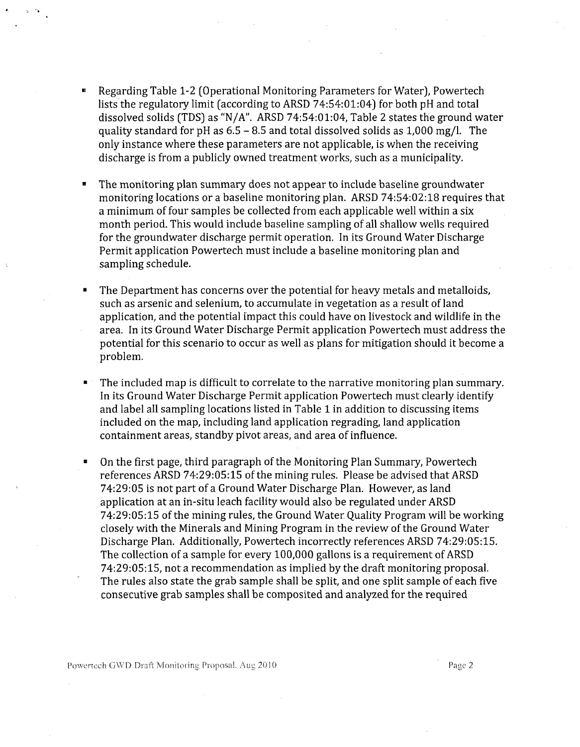- $\blacksquare$ Regarding Table 1-2 (Operational Monitoring Parameters for Water), Powertech lists the regulatory limit (according to ARSD 74:54:01:04) for both pH and total dissolved solids (TDS) as "N/A". ARSD 74:54:01:04, Table 2 states the ground water quality standard for pH as  $6.5 - 8.5$  and total dissolved solids as  $1,000$  mg/l. The only instance where these parameters are not applicable, is when the receiving discharge is from a publicly owned treatment works, such as a municipality.
- The monitoring plan summary does not appear to include baseline groundwater monitoring locations or a baseline monitoring plan. ARSD 74:54:02:18 requires that a minimum of four samples be collected from each applicable well within a six month period. This would include baseline sampling of all shallow wells required for the groundwater discharge permit operation. In its Ground Water Discharge Permit application Powertech must include a baseline monitoring plan and sampling schedule.
- **"** The Department has concerns over the potential for heavy metals and metalloids, such as arsenic and selenium, to accumulate in vegetation as a result of land application, and the potential impact this could have on livestock and wildlife in the area. In its Ground Water Discharge Permit application Powertech must address the potential for this scenario to occur as well as plans for mitigation should it become a problem.
- The included map is difficult to correlate to the narrative monitoring plan summary. In its Ground Water Discharge Permit application Powertech must clearly identify and label all sampling locations listed in Table **I** in addition to discussing items included on the map, including land application regrading, land application containment areas, standby pivot areas, and area of influence.
- On the first page, third paragraph of the Monitoring Plan Summary, Powertech references ARSD 74:29:05:15 of the mining rules. Please be advised that ARSD 74:29:05 is not part of a Ground Water Discharge Plan. However, as land application at an in-situ leach facility would also be regulated under ARSD 74:29:05:15 of the mining rules, the Ground Water Quality Program will be working closely with the Minerals and Mining Program in the review of the Ground Water Discharge Plan. Additionally, Powertech incorrectly references ARSD 74:29:05:15. The collection of a sample for every 100,000 gallons is a requirement of ARSD 74:29:05:15, not a recommendation as implied by the draft monitoring proposal. The rules also state the grab sample shall be split, and one split sample of each five consecutive grab samples shall be composited and analyzed for the required